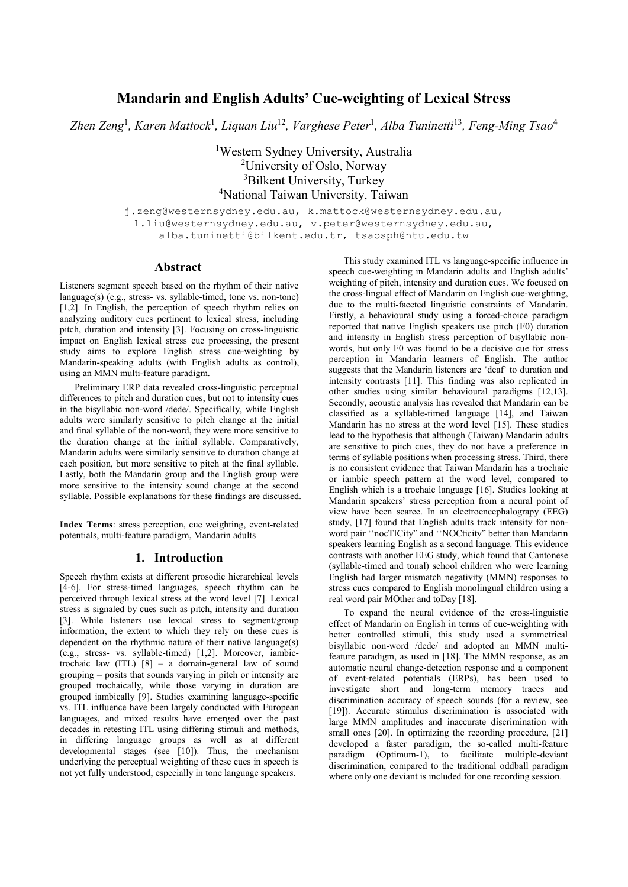# **Mandarin and English Adults' Cue-weighting of Lexical Stress**

*Zhen Zeng*<sup>1</sup> *, Karen Mattock*<sup>1</sup> *, Liquan Liu*<sup>12</sup>*, Varghese Peter*<sup>1</sup> *, Alba Tuninetti*<sup>13</sup>*, Feng-Ming Tsao*<sup>4</sup>

<sup>1</sup>Western Sydney University, Australia <sup>2</sup>University of Oslo, Norway <sup>3</sup>Bilkent University, Turkey <sup>4</sup>National Taiwan University, Taiwan

j.zeng@westernsydney.edu.au, k.mattock@westernsydney.edu.au, l.liu@westernsydney.edu.au, v.peter@westernsydney.edu.au, alba.tuninetti@bilkent.edu.tr, tsaosph@ntu.edu.tw

### **Abstract**

Listeners segment speech based on the rhythm of their native language(s) (e.g., stress- vs. syllable-timed, tone vs. non-tone) [1,2]. In English, the perception of speech rhythm relies on analyzing auditory cues pertinent to lexical stress, including pitch, duration and intensity [3]. Focusing on cross-linguistic impact on English lexical stress cue processing, the present study aims to explore English stress cue-weighting by Mandarin-speaking adults (with English adults as control), using an MMN multi-feature paradigm.

Preliminary ERP data revealed cross-linguistic perceptual differences to pitch and duration cues, but not to intensity cues in the bisyllabic non-word /dede/. Specifically, while English adults were similarly sensitive to pitch change at the initial and final syllable of the non-word, they were more sensitive to the duration change at the initial syllable. Comparatively, Mandarin adults were similarly sensitive to duration change at each position, but more sensitive to pitch at the final syllable. Lastly, both the Mandarin group and the English group were more sensitive to the intensity sound change at the second syllable. Possible explanations for these findings are discussed.

**Index Terms**: stress perception, cue weighting, event-related potentials, multi-feature paradigm, Mandarin adults

### **1. Introduction**

Speech rhythm exists at different prosodic hierarchical levels [4-6]. For stress-timed languages, speech rhythm can be perceived through lexical stress at the word level [7]. Lexical stress is signaled by cues such as pitch, intensity and duration [3]. While listeners use lexical stress to segment/group information, the extent to which they rely on these cues is dependent on the rhythmic nature of their native language(s) (e.g., stress- vs. syllable-timed) [1,2]. Moreover, iambictrochaic law (ITL) [8] – a domain-general law of sound grouping – posits that sounds varying in pitch or intensity are grouped trochaically, while those varying in duration are grouped iambically [9]. Studies examining language-specific vs. ITL influence have been largely conducted with European languages, and mixed results have emerged over the past decades in retesting ITL using differing stimuli and methods, in differing language groups as well as at different developmental stages (see [10]). Thus, the mechanism underlying the perceptual weighting of these cues in speech is not yet fully understood, especially in tone language speakers.

This study examined ITL vs language-specific influence in speech cue-weighting in Mandarin adults and English adults' weighting of pitch, intensity and duration cues. We focused on the cross-lingual effect of Mandarin on English cue-weighting, due to the multi-faceted linguistic constraints of Mandarin. Firstly, a behavioural study using a forced-choice paradigm reported that native English speakers use pitch (F0) duration and intensity in English stress perception of bisyllabic nonwords, but only F0 was found to be a decisive cue for stress perception in Mandarin learners of English. The author suggests that the Mandarin listeners are 'deaf' to duration and intensity contrasts [11]. This finding was also replicated in other studies using similar behavioural paradigms [12,13]. Secondly, acoustic analysis has revealed that Mandarin can be classified as a syllable-timed language [14], and Taiwan Mandarin has no stress at the word level [15]. These studies lead to the hypothesis that although (Taiwan) Mandarin adults are sensitive to pitch cues, they do not have a preference in terms of syllable positions when processing stress. Third, there is no consistent evidence that Taiwan Mandarin has a trochaic or iambic speech pattern at the word level, compared to English which is a trochaic language [16]. Studies looking at Mandarin speakers' stress perception from a neural point of view have been scarce. In an electroencephalograpy (EEG) study, [17] found that English adults track intensity for nonword pair ''nocTICity" and ''NOCticity" better than Mandarin speakers learning English as a second language. This evidence contrasts with another EEG study, which found that Cantonese (syllable-timed and tonal) school children who were learning English had larger mismatch negativity (MMN) responses to stress cues compared to English monolingual children using a real word pair MOther and toDay [18].

To expand the neural evidence of the cross-linguistic effect of Mandarin on English in terms of cue-weighting with better controlled stimuli, this study used a symmetrical bisyllabic non-word /dede/ and adopted an MMN multifeature paradigm, as used in [18]. The MMN response, as an automatic neural change-detection response and a component of event-related potentials (ERPs), has been used to investigate short and long-term memory traces and discrimination accuracy of speech sounds (for a review, see [19]). Accurate stimulus discrimination is associated with large MMN amplitudes and inaccurate discrimination with small ones [20]. In optimizing the recording procedure, [21] developed a faster paradigm, the so-called multi-feature paradigm (Optimum-1), to facilitate multiple-deviant discrimination, compared to the traditional oddball paradigm where only one deviant is included for one recording session.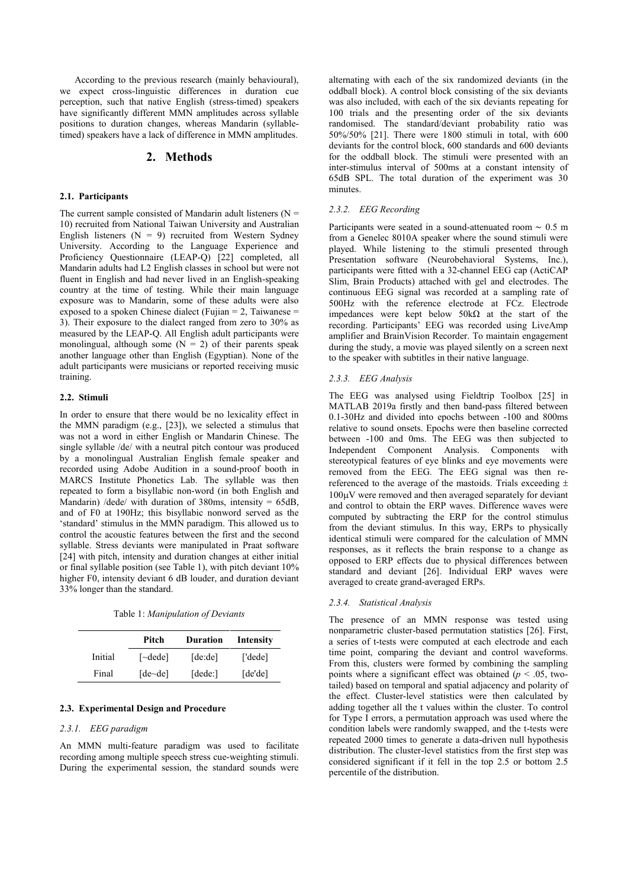According to the previous research (mainly behavioural), we expect cross-linguistic differences in duration cue perception, such that native English (stress-timed) speakers have significantly different MMN amplitudes across syllable positions to duration changes, whereas Mandarin (syllabletimed) speakers have a lack of difference in MMN amplitudes.

# **2. Methods**

#### **2.1. Participants**

The current sample consisted of Mandarin adult listeners ( $N =$ 10) recruited from National Taiwan University and Australian English listeners ( $N = 9$ ) recruited from Western Sydney University. According to the Language Experience and Proficiency Questionnaire (LEAP-Q) [22] completed, all Mandarin adults had L2 English classes in school but were not fluent in English and had never lived in an English-speaking country at the time of testing. While their main language exposure was to Mandarin, some of these adults were also exposed to a spoken Chinese dialect (Fujian = 2, Taiwanese = 3). Their exposure to the dialect ranged from zero to 30% as measured by the LEAP-Q. All English adult participants were monolingual, although some  $(N = 2)$  of their parents speak another language other than English (Egyptian). None of the adult participants were musicians or reported receiving music training.

#### **2.2. Stimuli**

In order to ensure that there would be no lexicality effect in the MMN paradigm (e.g., [23]), we selected a stimulus that was not a word in either English or Mandarin Chinese. The single syllable /de/ with a neutral pitch contour was produced by a monolingual Australian English female speaker and recorded using Adobe Audition in a sound-proof booth in MARCS Institute Phonetics Lab. The syllable was then repeated to form a bisyllabic non-word (in both English and Mandarin) /dede/ with duration of 380ms, intensity = 65dB, and of F0 at 190Hz; this bisyllabic nonword served as the 'standard' stimulus in the MMN paradigm. This allowed us to control the acoustic features between the first and the second syllable. Stress deviants were manipulated in Praat software [24] with pitch, intensity and duration changes at either initial or final syllable position (see Table 1), with pitch deviant 10% higher F0, intensity deviant 6 dB louder, and duration deviant 33% longer than the standard.

Table 1: *Manipulation of Deviants*

|         | Pitch                           | <b>Duration</b> | Intensity |
|---------|---------------------------------|-----------------|-----------|
| Initial | $\lceil \neg \text{ded} \rceil$ | [de:de]         | ['dede]   |
| Final   | $[de\text{-}de]$                | [dede.]         | [de'de]   |

#### **2.3. Experimental Design and Procedure**

#### *2.3.1. EEG paradigm*

An MMN multi-feature paradigm was used to facilitate recording among multiple speech stress cue-weighting stimuli. During the experimental session, the standard sounds were alternating with each of the six randomized deviants (in the oddball block). A control block consisting of the six deviants was also included, with each of the six deviants repeating for 100 trials and the presenting order of the six deviants randomised. The standard/deviant probability ratio was 50%/50% [21]. There were 1800 stimuli in total, with 600 deviants for the control block, 600 standards and 600 deviants for the oddball block. The stimuli were presented with an inter-stimulus interval of 500ms at a constant intensity of 65dB SPL. The total duration of the experiment was 30 minutes.

#### *2.3.2. EEG Recording*

Participants were seated in a sound-attenuated room ∼ 0.5 m from a Genelec 8010A speaker where the sound stimuli were played. While listening to the stimuli presented through Presentation software (Neurobehavioral Systems, Inc.), participants were fitted with a 32-channel EEG cap (ActiCAP Slim, Brain Products) attached with gel and electrodes. The continuous EEG signal was recorded at a sampling rate of 500Hz with the reference electrode at FCz. Electrode impedances were kept below 50kΩ at the start of the recording. Participants' EEG was recorded using LiveAmp amplifier and BrainVision Recorder. To maintain engagement during the study, a movie was played silently on a screen next to the speaker with subtitles in their native language.

#### *2.3.3. EEG Analysis*

The EEG was analysed using Fieldtrip Toolbox [25] in MATLAB 2019a firstly and then band-pass filtered between 0.1-30Hz and divided into epochs between -100 and 800ms relative to sound onsets. Epochs were then baseline corrected between -100 and 0ms. The EEG was then subjected to Independent Component Analysis. Components with stereotypical features of eye blinks and eye movements were removed from the EEG. The EEG signal was then rereferenced to the average of the mastoids. Trials exceeding  $\pm$  $100\mu$ V were removed and then averaged separately for deviant and control to obtain the ERP waves. Difference waves were computed by subtracting the ERP for the control stimulus from the deviant stimulus. In this way, ERPs to physically identical stimuli were compared for the calculation of MMN responses, as it reflects the brain response to a change as opposed to ERP effects due to physical differences between standard and deviant [26]. Individual ERP waves were averaged to create grand-averaged ERPs.

#### *2.3.4. Statistical Analysis*

The presence of an MMN response was tested using nonparametric cluster-based permutation statistics [26]. First, a series of t-tests were computed at each electrode and each time point, comparing the deviant and control waveforms. From this, clusters were formed by combining the sampling points where a significant effect was obtained ( $p < .05$ , twotailed) based on temporal and spatial adjacency and polarity of the effect. Cluster-level statistics were then calculated by adding together all the t values within the cluster. To control for Type I errors, a permutation approach was used where the condition labels were randomly swapped, and the t-tests were repeated 2000 times to generate a data-driven null hypothesis distribution. The cluster-level statistics from the first step was considered significant if it fell in the top 2.5 or bottom 2.5 percentile of the distribution.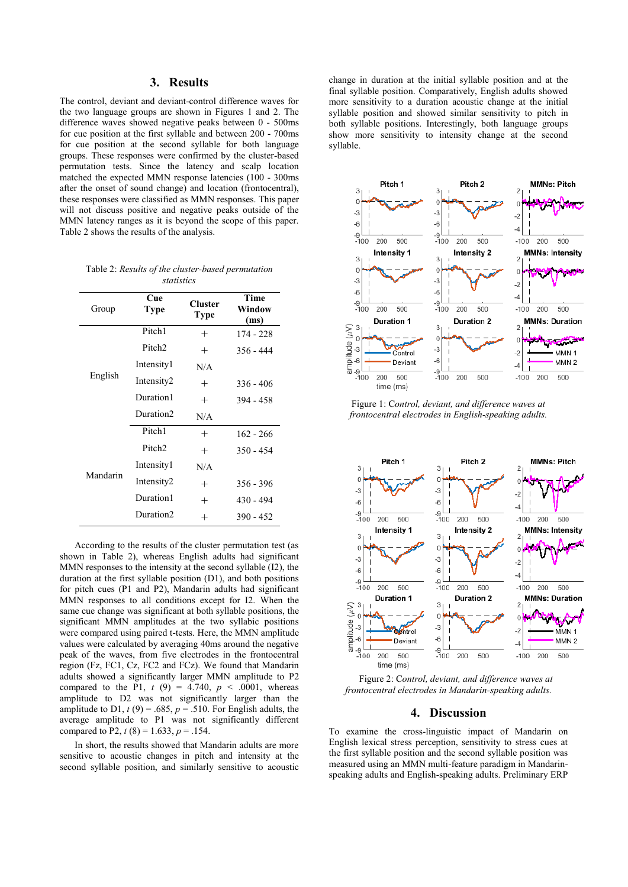# **3. Results**

The control, deviant and deviant-control difference waves for the two language groups are shown in Figures 1 and 2. The difference waves showed negative peaks between 0 - 500ms for cue position at the first syllable and between 200 - 700ms for cue position at the second syllable for both language groups. These responses were confirmed by the cluster-based permutation tests. Since the latency and scalp location matched the expected MMN response latencies (100 - 300ms after the onset of sound change) and location (frontocentral), these responses were classified as MMN responses. This paper will not discuss positive and negative peaks outside of the MMN latency ranges as it is beyond the scope of this paper. Table 2 shows the results of the analysis.

| Table 2: Results of the cluster-based permutation |  |  |  |  |  |
|---------------------------------------------------|--|--|--|--|--|
| statistics                                        |  |  |  |  |  |

| Group    | Cue<br>Type           | <b>Cluster</b><br><b>Type</b> | <b>Time</b><br>Window<br>(ms) |
|----------|-----------------------|-------------------------------|-------------------------------|
| English  | Pitch1                | $^{+}$                        | $174 - 228$                   |
|          | Pitch <sub>2</sub>    | $^{+}$                        | $356 - 444$                   |
|          | Intensity1            | N/A                           |                               |
|          | Intensity2            | $^{+}$                        | 336 - 406                     |
|          | Duration1             | $^{+}$                        | 394 - 458                     |
|          | Duration <sub>2</sub> | N/A                           |                               |
| Mandarin | Pitch1                | $^{+}$                        | $162 - 266$                   |
|          | Pitch <sub>2</sub>    | $^{+}$                        | $350 - 454$                   |
|          | Intensity1            | N/A                           |                               |
|          | Intensity2            | $^{+}$                        | $356 - 396$                   |
|          | Duration1             | $^{+}$                        | $430 - 494$                   |
|          | Duration <sub>2</sub> | $^{+}$                        | 390 - 452                     |

According to the results of the cluster permutation test (as shown in Table 2), whereas English adults had significant MMN responses to the intensity at the second syllable (I2), the duration at the first syllable position (D1), and both positions for pitch cues (P1 and P2), Mandarin adults had significant MMN responses to all conditions except for I2. When the same cue change was significant at both syllable positions, the significant MMN amplitudes at the two syllabic positions were compared using paired t-tests. Here, the MMN amplitude values were calculated by averaging 40ms around the negative peak of the waves, from five electrodes in the frontocentral region (Fz, FC1, Cz, FC2 and FCz). We found that Mandarin adults showed a significantly larger MMN amplitude to P2 compared to the P1,  $t(9) = 4.740$ ,  $p < .0001$ , whereas amplitude to D2 was not significantly larger than the amplitude to D1,  $t(9) = .685$ ,  $p = .510$ . For English adults, the average amplitude to P1 was not significantly different compared to P2,  $t(8) = 1.633$ ,  $p = .154$ .

In short, the results showed that Mandarin adults are more sensitive to acoustic changes in pitch and intensity at the second syllable position, and similarly sensitive to acoustic change in duration at the initial syllable position and at the final syllable position. Comparatively, English adults showed more sensitivity to a duration acoustic change at the initial syllable position and showed similar sensitivity to pitch in both syllable positions. Interestingly, both language groups show more sensitivity to intensity change at the second syllable.



Figure 1: C*ontrol, deviant, and difference waves at frontocentral electrodes in English-speaking adults.*



Figure 2: C*ontrol, deviant, and difference waves at frontocentral electrodes in Mandarin-speaking adults.*

### **4. Discussion**

To examine the cross-linguistic impact of Mandarin on English lexical stress perception, sensitivity to stress cues at the first syllable position and the second syllable position was measured using an MMN multi-feature paradigm in Mandarinspeaking adults and English-speaking adults. Preliminary ERP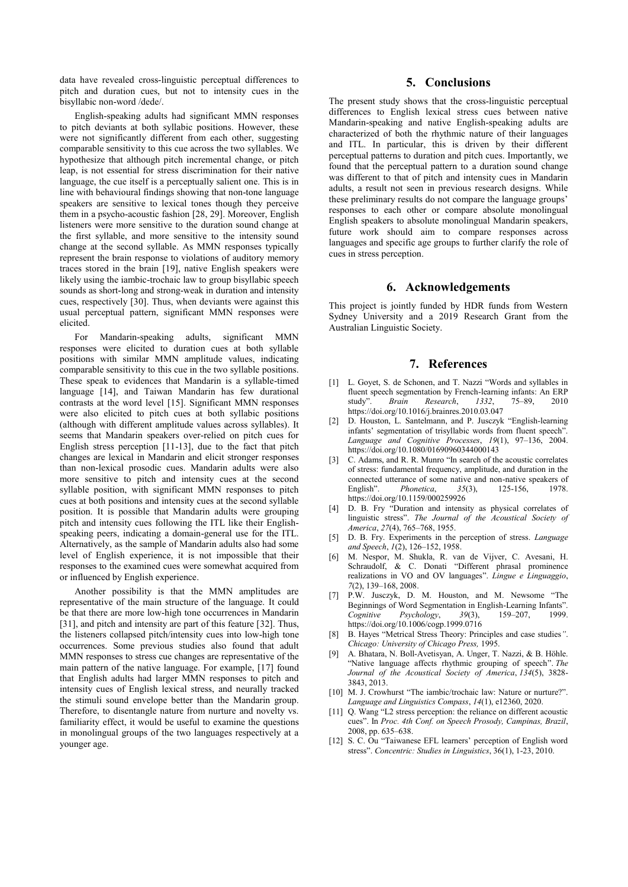data have revealed cross-linguistic perceptual differences to pitch and duration cues, but not to intensity cues in the bisyllabic non-word /dede/.

English-speaking adults had significant MMN responses to pitch deviants at both syllabic positions. However, these were not significantly different from each other, suggesting comparable sensitivity to this cue across the two syllables. We hypothesize that although pitch incremental change, or pitch leap, is not essential for stress discrimination for their native language, the cue itself is a perceptually salient one. This is in line with behavioural findings showing that non-tone language speakers are sensitive to lexical tones though they perceive them in a psycho-acoustic fashion [28, 29]. Moreover, English listeners were more sensitive to the duration sound change at the first syllable, and more sensitive to the intensity sound change at the second syllable. As MMN responses typically represent the brain response to violations of auditory memory traces stored in the brain [19], native English speakers were likely using the iambic-trochaic law to group bisyllabic speech sounds as short-long and strong-weak in duration and intensity cues, respectively [30]. Thus, when deviants were against this usual perceptual pattern, significant MMN responses were elicited.

For Mandarin-speaking adults, significant MMN responses were elicited to duration cues at both syllable positions with similar MMN amplitude values, indicating comparable sensitivity to this cue in the two syllable positions. These speak to evidences that Mandarin is a syllable-timed language [14], and Taiwan Mandarin has few durational contrasts at the word level [15]. Significant MMN responses were also elicited to pitch cues at both syllabic positions (although with different amplitude values across syllables). It seems that Mandarin speakers over-relied on pitch cues for English stress perception [11-13], due to the fact that pitch changes are lexical in Mandarin and elicit stronger responses than non-lexical prosodic cues. Mandarin adults were also more sensitive to pitch and intensity cues at the second syllable position, with significant MMN responses to pitch cues at both positions and intensity cues at the second syllable position. It is possible that Mandarin adults were grouping pitch and intensity cues following the ITL like their Englishspeaking peers, indicating a domain-general use for the ITL. Alternatively, as the sample of Mandarin adults also had some level of English experience, it is not impossible that their responses to the examined cues were somewhat acquired from or influenced by English experience.

Another possibility is that the MMN amplitudes are representative of the main structure of the language. It could be that there are more low-high tone occurrences in Mandarin [31], and pitch and intensity are part of this feature [32]. Thus, the listeners collapsed pitch/intensity cues into low-high tone occurrences. Some previous studies also found that adult MMN responses to stress cue changes are representative of the main pattern of the native language. For example, [17] found that English adults had larger MMN responses to pitch and intensity cues of English lexical stress, and neurally tracked the stimuli sound envelope better than the Mandarin group. Therefore, to disentangle nature from nurture and novelty vs. familiarity effect, it would be useful to examine the questions in monolingual groups of the two languages respectively at a younger age.

### **5. Conclusions**

The present study shows that the cross-linguistic perceptual differences to English lexical stress cues between native Mandarin-speaking and native English-speaking adults are characterized of both the rhythmic nature of their languages and ITL. In particular, this is driven by their different perceptual patterns to duration and pitch cues. Importantly, we found that the perceptual pattern to a duration sound change was different to that of pitch and intensity cues in Mandarin adults, a result not seen in previous research designs. While these preliminary results do not compare the language groups' responses to each other or compare absolute monolingual English speakers to absolute monolingual Mandarin speakers, future work should aim to compare responses across languages and specific age groups to further clarify the role of cues in stress perception.

## **6. Acknowledgements**

This project is jointly funded by HDR funds from Western Sydney University and a 2019 Research Grant from the Australian Linguistic Society.

# **7. References**

- [1] L. Goyet, S. de Schonen, and T. Nazzi "Words and syllables in fluent speech segmentation by French-learning infants: An ERP study". *Brain Research*, *1332*, 75–89, 2010 https://doi.org/10.1016/j.brainres.2010.03.047
- [2] D. Houston, L. Santelmann, and P. Jusczyk "English-learning infants' segmentation of trisyllabic words from fluent speech". *Language and Cognitive Processes*, *19*(1), 97–136, 2004. https://doi.org/10.1080/01690960344000143
- [3] C. Adams, and R. R. Munro "In search of the acoustic correlates of stress: fundamental frequency, amplitude, and duration in the connected utterance of some native and non-native speakers of English". Phonetica,  $35(3)$ , 125-156, 1978.  $Phonetica$ , https://doi.org/10.1159/000259926
- [4] D. B. Fry "Duration and intensity as physical correlates of linguistic stress". *The Journal of the Acoustical Society of America*, *27*(4), 765–768, 1955.
- [5] D. B. Fry. Experiments in the perception of stress. *Language and Speech*, *1*(2), 126–152, 1958.
- [6] M. Nespor, M. Shukla, R. van de Vijver, C. Avesani, H. Schraudolf, & C. Donati "Different phrasal prominence realizations in VO and OV languages". *Lingue e Linguaggio*, *7*(2), 139–168, 2008.
- [7] P.W. Jusczyk, D. M. Houston, and M. Newsome "The Beginnings of Word Segmentation in English-Learning Infants".<br>
Cognitive Psychology, 39(3), 159-207, 1999.  $Psychology,$ https://doi.org/10.1006/cogp.1999.0716
- [8] B. Hayes "Metrical Stress Theory: Principles and case studies*"*. *Chicago: University of Chicago Press,* 1995.
- [9] A. Bhatara, N. Boll-Avetisyan, A. Unger, T. Nazzi, & B. Höhle. "Native language affects rhythmic grouping of speech". *The Journal of the Acoustical Society of America*, *134*(5), 3828- 3843, 2013.
- [10] M. J. Crowhurst "The iambic/trochaic law: Nature or nurture?". *Language and Linguistics Compass*, *14*(1), e12360, 2020.
- [11] Q. Wang "L2 stress perception: the reliance on different acoustic cues". In *Proc. 4th Conf. on Speech Prosody, Campinas, Brazil*, 2008, pp. 635–638.
- [12] S. C. Ou "Taiwanese EFL learners' perception of English word stress". *Concentric: Studies in Linguistics*, 36(1), 1-23, 2010.